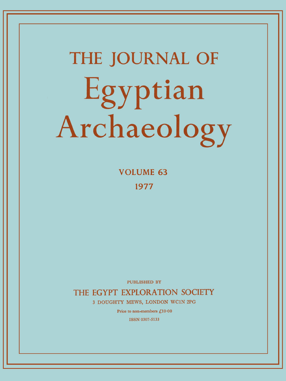# **THE JOURNAL OF**  Egyptian Archaeology

**VOLUME 6 3 197 7** 

PUBLISHED BY

**THE EGYPT EXPLORATION SOCIETY** 

**3 DOUGHTY MEWS, LONDON WC1N 2PG** 

Price to non-members £10.00

ISSN 0307-5133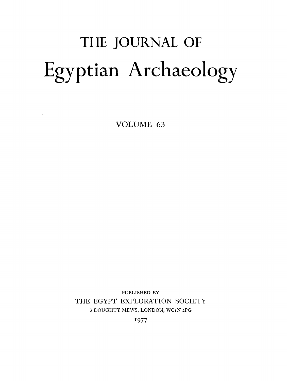## THE JOURNAL OF Egyptian Archaeology

VOLUME 63

PUBLISHED BY THE EGYPT EXPLORATION SOCIETY 3 DOUGHTY MEWS, LONDON, WCIN 2PG

1977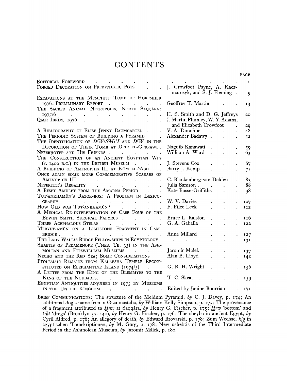#### **CONTENTS**

| EDITORIAL FOREWORD                                                                                                                                                                                                                                                                                                                                                                                                                                                                 |                                                            |                      |                      | $\mathbf{I}$ |
|------------------------------------------------------------------------------------------------------------------------------------------------------------------------------------------------------------------------------------------------------------------------------------------------------------------------------------------------------------------------------------------------------------------------------------------------------------------------------------|------------------------------------------------------------|----------------------|----------------------|--------------|
| FORGED DECORATION ON PREDYNASTIC POTS                                                                                                                                                                                                                                                                                                                                                                                                                                              | J. Crowfoot Payne, A. Kacz-<br>marczyk, and S. J. Fleming. |                      |                      | 5            |
| EXCAVATIONS AT THE MEMPHITE TOMB OF HOREMHEB                                                                                                                                                                                                                                                                                                                                                                                                                                       |                                                            |                      |                      |              |
| 1976: PRELIMINARY REPORT<br>$\sim$ .<br>$\mathbf{r} = \left\{ \begin{array}{ll} 0 & \text{if} \ \mathbf{r} = \mathbf{r} \ \text{if} \ \mathbf{r} = \mathbf{r} \end{array} \right.$                                                                                                                                                                                                                                                                                                 | Geoffrey T. Martin                                         |                      |                      | 13           |
| THE SACRED ANIMAL NECROPOLIS, NORTH SAQQÂRA:                                                                                                                                                                                                                                                                                                                                                                                                                                       |                                                            |                      |                      |              |
| 1975/6<br><b>Contract Contract</b><br>$\mathbf{r} = \mathbf{r} \cdot \mathbf{r}$                                                                                                                                                                                                                                                                                                                                                                                                   | H. S. Smith and D. G. Jeffreys                             |                      |                      | 20           |
| QAȘR IBRÎM, 1976 .<br>$\mathbf{r}^{\left(1\right)}$ , where $\mathbf{r}^{\left(2\right)}$ , where $\mathbf{r}^{\left(2\right)}$                                                                                                                                                                                                                                                                                                                                                    | J. Martin Plumley, W. Y. Adams,                            |                      |                      |              |
|                                                                                                                                                                                                                                                                                                                                                                                                                                                                                    | and Elizabeth Crowfoot                                     |                      |                      | 29           |
| A BIBLIOGRAPHY OF ELISE JENNY BAUMGARTEL.                                                                                                                                                                                                                                                                                                                                                                                                                                          | V. A. Donohue .                                            |                      |                      | 48           |
| THE PERIODIC SYSTEM OF BUILDING A PYRAMID                                                                                                                                                                                                                                                                                                                                                                                                                                          | Alexander Badawy.                                          |                      |                      | 52           |
| THE IDENTIFICATION OF $D^cW/\tilde{S}M3'I$ and $D^cW$ in the                                                                                                                                                                                                                                                                                                                                                                                                                       |                                                            |                      |                      |              |
| DECORATION OF THEIR TOMB AT DEIR EL-GEBRAWI.                                                                                                                                                                                                                                                                                                                                                                                                                                       | Naguib Kanawati                                            |                      |                      | 59           |
| NEFERHOTEP AND HIS FRIENDS                                                                                                                                                                                                                                                                                                                                                                                                                                                         | William A. Ward                                            | $\ddot{\phantom{a}}$ |                      | 63           |
| THE CONSTRUCTION OF AN ANCIENT EGYPTIAN WIG                                                                                                                                                                                                                                                                                                                                                                                                                                        |                                                            |                      |                      |              |
| $(c. 1400 B.C.)$ IN THE BRITISH MUSEUM                                                                                                                                                                                                                                                                                                                                                                                                                                             | J. Stevens Cox                                             |                      |                      | 67           |
| A BUILDING OF AMENOPHIS III AT KÔM EL-ABD                                                                                                                                                                                                                                                                                                                                                                                                                                          | Barry J. Kemp                                              |                      |                      | 71           |
| ONCE AGAIN SOME MORE COMMEMORATIVE SCARABS OF                                                                                                                                                                                                                                                                                                                                                                                                                                      |                                                            |                      |                      |              |
| AMENOPHIS III<br>the contract of the contract of the contract of                                                                                                                                                                                                                                                                                                                                                                                                                   | C. Blankenberg-van Delden                                  |                      |                      | 83           |
| NEFERTITI'S REGALITY<br>$\mathbf{L}^{\text{max}} = \mathbf{L}^{\text{max}} = \mathbf{L}^{\text{max}} = \mathbf{L}^{\text{max}} = \mathbf{L}^{\text{max}} = \mathbf{L}^{\text{max}}$                                                                                                                                                                                                                                                                                                | Julia Samson.                                              |                      |                      | 88           |
| A BESET AMULET FROM THE AMARNA PERIOD<br>$\sim$                                                                                                                                                                                                                                                                                                                                                                                                                                    | Kate Bosse-Griffiths                                       |                      |                      | $\Omega$     |
| Tutsankhamūn's Razor-box: A Problem in Lexico-                                                                                                                                                                                                                                                                                                                                                                                                                                     |                                                            |                      |                      |              |
| <b>GRAPHY</b>                                                                                                                                                                                                                                                                                                                                                                                                                                                                      | W. V. Davies                                               |                      |                      | 107          |
| How OLD WAS TUTANKHAMUN?                                                                                                                                                                                                                                                                                                                                                                                                                                                           | F. Filce Leek                                              |                      |                      | II2          |
| A MEDICAL RE-INTERPRETATION OF CASE FOUR OF THE                                                                                                                                                                                                                                                                                                                                                                                                                                    |                                                            |                      |                      |              |
| EDWIN SMITH SURGICAL PAPYRUS.<br>$\mathcal{L} = \mathcal{L}$                                                                                                                                                                                                                                                                                                                                                                                                                       | Bruce L. Ralston                                           |                      |                      | 116          |
| THREE ACEPHALOUS STELAE<br>$\bullet$<br>$\mathbf{A}$ and $\mathbf{A}$ are $\mathbf{A}$ . Then                                                                                                                                                                                                                                                                                                                                                                                      | G. A. Gaballa                                              |                      | $\ddot{\phantom{a}}$ | 122          |
| MERYET-AMÜN ON A LIMESTONE FRAGMENT IN CAM-                                                                                                                                                                                                                                                                                                                                                                                                                                        |                                                            |                      |                      |              |
| BRIDGE.<br>and the state of the state of the                                                                                                                                                                                                                                                                                                                                                                                                                                       | Anne Millard                                               |                      |                      | 127          |
| THE LADY WALLIS BUDGE FELLOWSHIPS IN EGYPTOLOGY.                                                                                                                                                                                                                                                                                                                                                                                                                                   | $\sim 10$                                                  |                      |                      | 131          |
| SHABTIS OF PEDAMENOPE (THEB. TB. 33) IN THE ASH-                                                                                                                                                                                                                                                                                                                                                                                                                                   |                                                            |                      |                      |              |
| MOLEAN AND FITZWILLIAM MUSEUMS<br><b>Contract Contract</b>                                                                                                                                                                                                                                                                                                                                                                                                                         | Jaromír Málek                                              |                      |                      | 137          |
| NECHO AND THE RED SEA; SOME CONSIDERATIONS                                                                                                                                                                                                                                                                                                                                                                                                                                         | Alan B. Lloyd                                              |                      | $\bullet$            | 142          |
| PTOLEMAIC REMAINS FROM KALABSHA TEMPLE RECON-                                                                                                                                                                                                                                                                                                                                                                                                                                      |                                                            |                      |                      |              |
| STITUTED ON ELEPHANTINE ISLAND $(1974/5)$ .                                                                                                                                                                                                                                                                                                                                                                                                                                        | G. R. H. Wright                                            |                      |                      | 156          |
| A LETTER FROM THE KING OF THE BLEMMYES TO THE                                                                                                                                                                                                                                                                                                                                                                                                                                      |                                                            |                      |                      |              |
| $\mathcal{L}^{\mathcal{L}}(\mathcal{L}^{\mathcal{L}}(\mathcal{L}^{\mathcal{L}}(\mathcal{L}^{\mathcal{L}}(\mathcal{L}^{\mathcal{L}}(\mathcal{L}^{\mathcal{L}}(\mathcal{L}^{\mathcal{L}}(\mathcal{L}^{\mathcal{L}}(\mathcal{L}^{\mathcal{L}}(\mathcal{L}^{\mathcal{L}}(\mathcal{L}^{\mathcal{L}}(\mathcal{L}^{\mathcal{L}}(\mathcal{L}^{\mathcal{L}}(\mathcal{L}^{\mathcal{L}}(\mathcal{L}^{\mathcal{L}}(\mathcal{L}^{\mathcal{L}}(\mathcal{L}^{\mathcal{L$<br>KING OF THE NOUBADES. | T. C. Skeat.                                               |                      |                      | 159          |
| EGYPTIAN ANTIQUITIES ACQUIRED IN 1975 BY MUSEUMS                                                                                                                                                                                                                                                                                                                                                                                                                                   |                                                            |                      |                      |              |
| IN THE UNITED KINGDOM<br>$\mathbf{r}$ , and $\mathbf{r}$ , and $\mathbf{r}$ , and $\mathbf{r}$<br>$\sim 10$                                                                                                                                                                                                                                                                                                                                                                        | Edited by Janine Bourriau                                  |                      |                      | 171          |
|                                                                                                                                                                                                                                                                                                                                                                                                                                                                                    |                                                            |                      |                      |              |
| BRIEF COMMUNICATIONS: The structure of the Meidum Pyramid, by C. J. Davey, p. 174; An<br>odditional doo's name fuser of Circ meetshe, L. William Valley Cimpoon, n. 2001. The                                                                                                                                                                                                                                                                                                      |                                                            |                      |                      |              |

**additional dog's name from a Giza mastaba,** *by* **William Kelly Simpson, p.** 175; **The provenance of a fragment attributed to** *Hnzv* **at Saqqara,** *by* **Henry G. Fischer, p.** 175; *Hrw* **'bottom' and**  *tiht* **'dregs' (Brooklyn** 57. 140), *by* **Henry G. Fischer, p.** 176; **The sheyba in ancient Egypt,** *by*  **Cyril Aldred, p.** 176; **An allegory of death,** *by* **Edward Brovarski, p.** 178; **Zum Wechsel** *kjq* **in agyptischen Transkriptionen,** *by* **M. Gorg, p.** 178; **New ushebtis of the Third Intermediate Period in the Ashmolean Museum,** *by* **Jaromir Malek, p.** 180.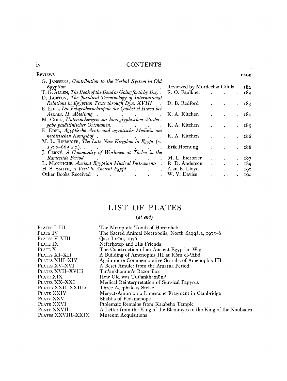#### iv **CONTENTS**

| Reviews                                                                                                                                                                                                                                                                             |                               |                                               |              |           | <b>PAGE</b> |
|-------------------------------------------------------------------------------------------------------------------------------------------------------------------------------------------------------------------------------------------------------------------------------------|-------------------------------|-----------------------------------------------|--------------|-----------|-------------|
| G. JANSSENS, Contribution to the Verbal System in Old<br>Egyptian                                                                                                                                                                                                                   | Reviewed by Mordechai Gilula. |                                               |              |           | 182         |
| . The contract of the contract of the contract of the contract of the contract of the $\alpha$<br>T. G. ALLEN, The Book of the Dead or Going forth by Day.                                                                                                                          |                               |                                               |              |           | 182         |
| D. LORTON, The Juridical Terminology of International<br>Relations in Egyptian Texts through Dyn. XVIII                                                                                                                                                                             | D. B. Redford                 |                                               |              |           | 183         |
| E. EDEL, Die Felsgräbernekropole der Qubbet el Hawa bei<br>Assuan. II. Abteilung . The contract of the set of the set of the set of the set of the set of the set of the s                                                                                                          | K. A. Kitchen                 |                                               |              |           |             |
| M. Görg, Untersuchungen zur hieroglyphischen Wieder-                                                                                                                                                                                                                                |                               |                                               |              |           | 184         |
| gabe palästinischer Ortsnamen. (a. 1988)<br>E. EDEL, Ägyptische Ärzte und ägyptische Medizin am                                                                                                                                                                                     | K. A. Kitchen                 |                                               |              |           | 185         |
| hethitischen Königshof. 1988. See Article States Article States Article States Article States Article States A                                                                                                                                                                      | K. A. Kitchen                 |                                               |              |           | 186         |
| M. L. BIERBRIER, The Late New Kingdom in Egypt (c.<br>$1300 - 664$ B.C.)<br>$\mathcal{L}^{\mathcal{A}}$ . The contribution of the contribution of the contribution of $\mathcal{L}^{\mathcal{A}}$                                                                                   | Erik Hornung                  |                                               |              |           | 186         |
| J. ČERNÝ, A Community of Workmen at Thebes in the<br>Ramesside Period and the contract of the contract of the contract of the contract of the contract of the contract of the contract of the contract of the contract of the contract of the contract of the contract of the contr | M. L. Bierbrier               |                                               | $\bullet$    |           | 187         |
| L. MANNICHE, Ancient Egyptian Musical Instruments . R. D. Anderson                                                                                                                                                                                                                  |                               | $\bullet$ - $\bullet$ - $\bullet$ - $\bullet$ | $\mathbf{A}$ |           | 189         |
| H. S. SMITH, A Visit to Ancient Egypt                                                                                                                                                                                                                                               | Alan B. Lloyd                 |                                               | $\mathbf{r}$ | $\bullet$ | 190         |
| Other Books Received<br>and the contract of the contract of                                                                                                                                                                                                                         | W. V. Davies                  |                                               |              |           | 190         |

### LIST OF PLATES

#### *{at end)*

| Plates I–III       | The Memphite Tomb of Horemheb                                      |
|--------------------|--------------------------------------------------------------------|
| Plate IV           | The Sacred Animal Necropolis, North Saqqâra, 1975–6                |
| Plates V–VIII      | Qasr Ibrîm, 1976                                                   |
| Plate IX           | Neferhotep and His Friends                                         |
| Plate X            | The Construction of an Ancient Egyptian Wig                        |
| Plates XI–XII      | A Building of Amenophis III at Kôm el-'Abd                         |
| Plates XIII–XIV    | Again more Commemorative Scarabs of Amenophis III                  |
| Plates XV–XVI      | A Beset Amulet from the Amarna Period                              |
| PLATES XVII–XVIII  | Tut <sup>c</sup> ankhamūn's Razor Box                              |
| PLATE XIX          | How Old was Tut'ankhamūn?                                          |
| PLATES XX-XXI      | Medical Reinterpretation of Surgical Papyrus                       |
| PLATES XXII-XXIIIA | Three Acephalous Stelae                                            |
| PLATE XXIV         | Meryet-Amūn on a Limestone Fragment in Cambridge                   |
| PLATE XXV          | Shabtis of Pedamenope                                              |
| PLATE XXVI         | Ptolemaic Remains from Kalabsha Temple                             |
| PLATE XXVII        | A Letter from the King of the Blemmyes to the King of the Noubades |
| PLATES XXVIII-XXIX | <b>Museum Acquisitions</b>                                         |